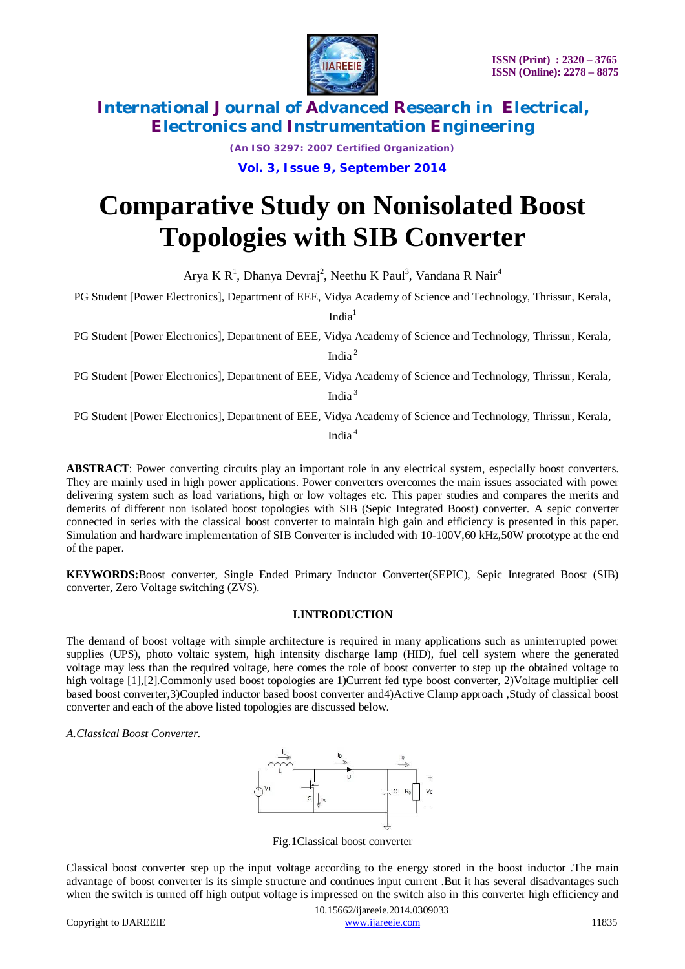



*(An ISO 3297: 2007 Certified Organization)*

**Vol. 3, Issue 9, September 2014**

# **Comparative Study on Nonisolated Boost Topologies with SIB Converter**

Arya K R<sup>1</sup>, Dhanya Devraj<sup>2</sup>, Neethu K Paul<sup>3</sup>, Vandana R Nair<sup>4</sup>

PG Student [Power Electronics], Department of EEE, Vidya Academy of Science and Technology, Thrissur, Kerala,

India<sup>1</sup>

PG Student [Power Electronics], Department of EEE, Vidya Academy of Science and Technology, Thrissur, Kerala,

India <sup>2</sup>

PG Student [Power Electronics], Department of EEE, Vidya Academy of Science and Technology, Thrissur, Kerala, India <sup>3</sup>

PG Student [Power Electronics], Department of EEE, Vidya Academy of Science and Technology, Thrissur, Kerala,

India <sup>4</sup>

**ABSTRACT**: Power converting circuits play an important role in any electrical system, especially boost converters. They are mainly used in high power applications. Power converters overcomes the main issues associated with power delivering system such as load variations, high or low voltages etc. This paper studies and compares the merits and demerits of different non isolated boost topologies with SIB (Sepic Integrated Boost) converter. A sepic converter connected in series with the classical boost converter to maintain high gain and efficiency is presented in this paper. Simulation and hardware implementation of SIB Converter is included with 10-100V,60 kHz,50W prototype at the end of the paper.

**KEYWORDS:**Boost converter, Single Ended Primary Inductor Converter(SEPIC), Sepic Integrated Boost (SIB) converter, Zero Voltage switching (ZVS).

## **I.INTRODUCTION**

The demand of boost voltage with simple architecture is required in many applications such as uninterrupted power supplies (UPS), photo voltaic system, high intensity discharge lamp (HID), fuel cell system where the generated voltage may less than the required voltage, here comes the role of boost converter to step up the obtained voltage to high voltage [1],[2].Commonly used boost topologies are 1)Current fed type boost converter, 2)Voltage multiplier cell based boost converter,3)Coupled inductor based boost converter and4)Active Clamp approach ,Study of classical boost converter and each of the above listed topologies are discussed below.

*A.Classical Boost Converter.*



Fig.1Classical boost converter

Classical boost converter step up the input voltage according to the energy stored in the boost inductor .The main advantage of boost converter is its simple structure and continues input current .But it has several disadvantages such when the switch is turned off high output voltage is impressed on the switch also in this converter high efficiency and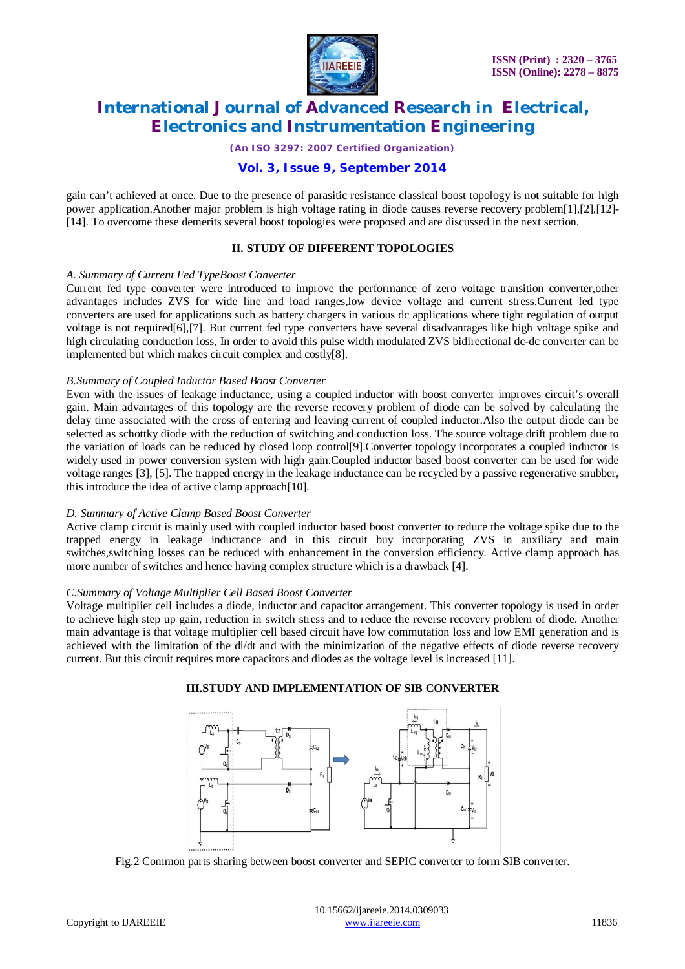

*(An ISO 3297: 2007 Certified Organization)*

# **Vol. 3, Issue 9, September 2014**

gain can't achieved at once. Due to the presence of parasitic resistance classical boost topology is not suitable for high power application.Another major problem is high voltage rating in diode causes reverse recovery problem[1],[2],[12]- [14]. To overcome these demerits several boost topologies were proposed and are discussed in the next section.

# **II. STUDY OF DIFFERENT TOPOLOGIES**

#### *A. Summary of Current Fed TypeBoost Converter*

Current fed type converter were introduced to improve the performance of zero voltage transition converter,other advantages includes ZVS for wide line and load ranges,low device voltage and current stress.Current fed type converters are used for applications such as battery chargers in various dc applications where tight regulation of output voltage is not required[6],[7]. But current fed type converters have several disadvantages like high voltage spike and high circulating conduction loss, In order to avoid this pulse width modulated ZVS bidirectional dc-dc converter can be implemented but which makes circuit complex and costly[8].

## *B.Summary of Coupled Inductor Based Boost Converter*

Even with the issues of leakage inductance, using a coupled inductor with boost converter improves circuit's overall gain. Main advantages of this topology are the reverse recovery problem of diode can be solved by calculating the delay time associated with the cross of entering and leaving current of coupled inductor.Also the output diode can be selected as schottky diode with the reduction of switching and conduction loss. The source voltage drift problem due to the variation of loads can be reduced by closed loop control[9].Converter topology incorporates a coupled inductor is widely used in power conversion system with high gain.Coupled inductor based boost converter can be used for wide voltage ranges [3], [5]. The trapped energy in the leakage inductance can be recycled by a passive regenerative snubber, this introduce the idea of active clamp approach[10].

## *D. Summary of Active Clamp Based Boost Converter*

Active clamp circuit is mainly used with coupled inductor based boost converter to reduce the voltage spike due to the trapped energy in leakage inductance and in this circuit buy incorporating ZVS in auxiliary and main switches, switching losses can be reduced with enhancement in the conversion efficiency. Active clamp approach has more number of switches and hence having complex structure which is a drawback [4].

## *C.Summary of Voltage Multiplier Cell Based Boost Converter*

Voltage multiplier cell includes a diode, inductor and capacitor arrangement. This converter topology is used in order to achieve high step up gain, reduction in switch stress and to reduce the reverse recovery problem of diode. Another main advantage is that voltage multiplier cell based circuit have low commutation loss and low EMI generation and is achieved with the limitation of the di/dt and with the minimization of the negative effects of diode reverse recovery current. But this circuit requires more capacitors and diodes as the voltage level is increased [11].



## **III.STUDY AND IMPLEMENTATION OF SIB CONVERTER**

Fig.2 Common parts sharing between boost converter and SEPIC converter to form SIB converter.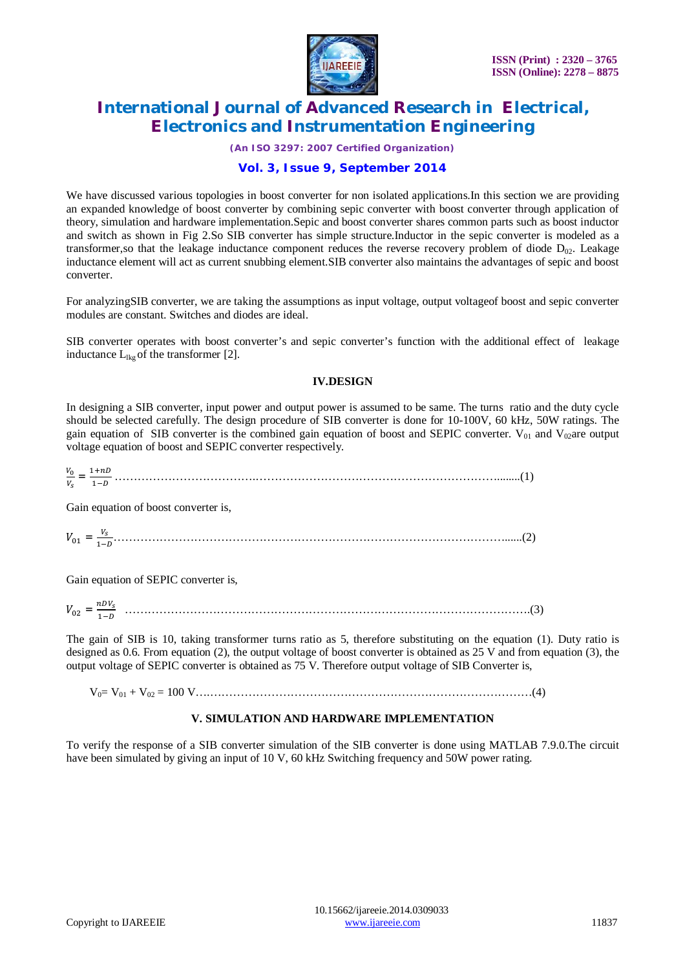

*(An ISO 3297: 2007 Certified Organization)*

# **Vol. 3, Issue 9, September 2014**

We have discussed various topologies in boost converter for non isolated applications. In this section we are providing an expanded knowledge of boost converter by combining sepic converter with boost converter through application of theory, simulation and hardware implementation.Sepic and boost converter shares common parts such as boost inductor and switch as shown in Fig 2.So SIB converter has simple structure.Inductor in the sepic converter is modeled as a transformer, so that the leakage inductance component reduces the reverse recovery problem of diode  $D_{02}$ . Leakage inductance element will act as current snubbing element.SIB converter also maintains the advantages of sepic and boost converter.

For analyzingSIB converter, we are taking the assumptions as input voltage, output voltageof boost and sepic converter modules are constant. Switches and diodes are ideal.

SIB converter operates with boost converter's and sepic converter's function with the additional effect of leakage inductance  $L_{\text{lkg}}$  of the transformer [2].

# **IV.DESIGN**

In designing a SIB converter, input power and output power is assumed to be same. The turns ratio and the duty cycle should be selected carefully. The design procedure of SIB converter is done for 10-100V, 60 kHz, 50W ratings. The gain equation of SIB converter is the combined gain equation of boost and SEPIC converter.  $V_{01}$  and  $V_{02}$ are output voltage equation of boost and SEPIC converter respectively.

 $V_0$ ೞ = ଵା ଵି ……………………………….………………………………………………………........(1)

Gain equation of boost converter is,

ܸଵ = ೞ ଵି…………………………………………………………………………………………......(2)

Gain equation of SEPIC converter is,

 $V_{02} = \frac{nDV_s}{1 - n}$ ଵି …………………………………………………………………………………………….(3)

The gain of SIB is 10, taking transformer turns ratio as 5, therefore substituting on the equation (1). Duty ratio is designed as 0.6. From equation (2), the output voltage of boost converter is obtained as 25 V and from equation (3), the output voltage of SEPIC converter is obtained as 75 V. Therefore output voltage of SIB Converter is,

V0= V<sup>01</sup> + V<sup>02</sup> = 100 V….…………………………………………………………………………(4)

## **V. SIMULATION AND HARDWARE IMPLEMENTATION**

To verify the response of a SIB converter simulation of the SIB converter is done using MATLAB 7.9.0.The circuit have been simulated by giving an input of 10 V, 60 kHz Switching frequency and 50W power rating.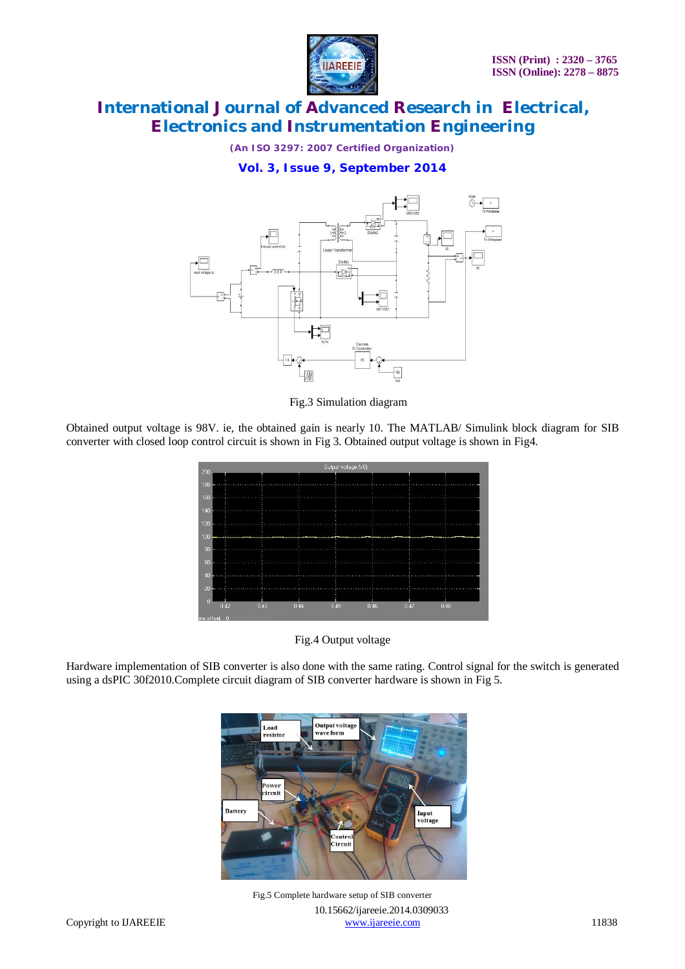

*(An ISO 3297: 2007 Certified Organization)*

**Vol. 3, Issue 9, September 2014**



Fig.3 Simulation diagram

Obtained output voltage is 98V. ie, the obtained gain is nearly 10. The MATLAB/ Simulink block diagram for SIB converter with closed loop control circuit is shown in Fig 3. Obtained output voltage is shown in Fig4.



Fig.4 Output voltage

Hardware implementation of SIB converter is also done with the same rating. Control signal for the switch is generated using a dsPIC 30f2010.Complete circuit diagram of SIB converter hardware is shown in Fig 5.



 10.15662/ijareeie.2014.0309033 Copyright to IJAREEIE www.ijareeie.com 11838 Fig.5 Complete hardware setup of SIB converter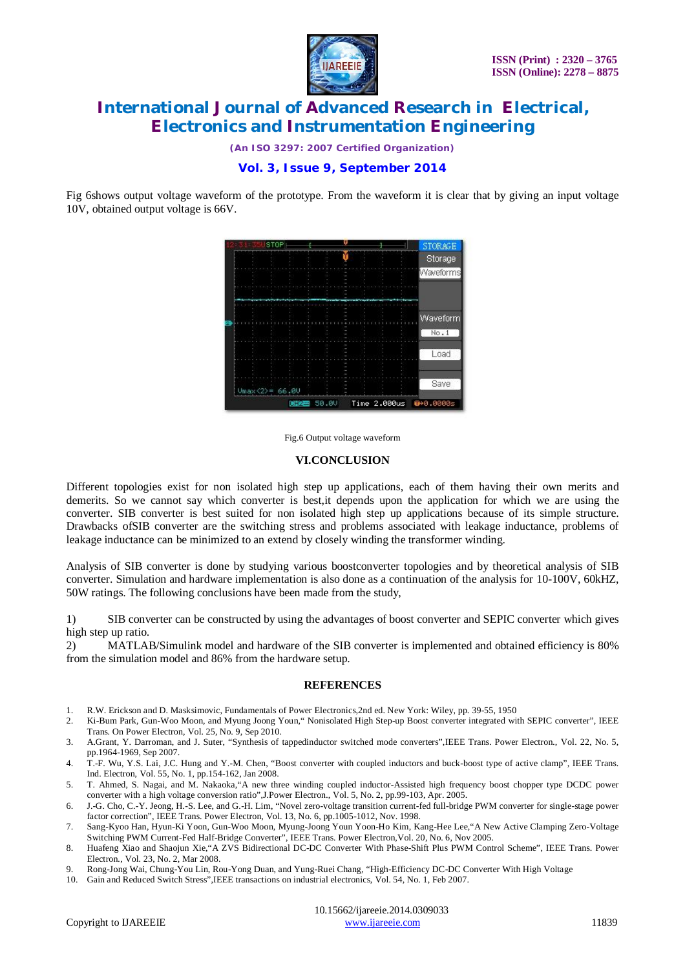

*(An ISO 3297: 2007 Certified Organization)*

# **Vol. 3, Issue 9, September 2014**

Fig 6shows output voltage waveform of the prototype. From the waveform it is clear that by giving an input voltage 10V, obtained output voltage is 66V.



Fig.6 Output voltage waveform

#### **VI.CONCLUSION**

Different topologies exist for non isolated high step up applications, each of them having their own merits and demerits. So we cannot say which converter is best,it depends upon the application for which we are using the converter. SIB converter is best suited for non isolated high step up applications because of its simple structure. Drawbacks ofSIB converter are the switching stress and problems associated with leakage inductance, problems of leakage inductance can be minimized to an extend by closely winding the transformer winding.

Analysis of SIB converter is done by studying various boostconverter topologies and by theoretical analysis of SIB converter. Simulation and hardware implementation is also done as a continuation of the analysis for 10-100V, 60kHZ, 50W ratings. The following conclusions have been made from the study,

1) SIB converter can be constructed by using the advantages of boost converter and SEPIC converter which gives high step up ratio.

2) MATLAB/Simulink model and hardware of the SIB converter is implemented and obtained efficiency is 80% from the simulation model and 86% from the hardware setup.

## **REFERENCES**

- 1. R.W. Erickson and D. Masksimovic, Fundamentals of Power Electronics,2nd ed. New York: Wiley, pp. 39-55, 1950
- 2. Ki-Bum Park, Gun-Woo Moon, and Myung Joong Youn," Nonisolated High Step-up Boost converter integrated with SEPIC converter", IEEE Trans. On Power Electron*,* Vol. 25, No. 9, Sep 2010.
- 3. A.Grant, Y. Darroman, and J. Suter, "Synthesis of tappedinductor switched mode converters",IEEE Trans. Power Electron*.,* Vol. 22, No. 5, pp.1964-1969, Sep 2007.
- 4. T.-F. Wu, Y.S. Lai, J.C. Hung and Y.-M. Chen, "Boost converter with coupled inductors and buck-boost type of active clamp"*,* IEEE Trans. Ind. Electron, Vol. 55, No. 1, pp.154-162, Jan 2008.
- 5. T. Ahmed, S. Nagai, and M. Nakaoka,"A new three winding coupled inductor-Assisted high frequency boost chopper type DCDC power converter with a high voltage conversion ratio",J.Power Electron*.*, Vol. 5, No. 2, pp.99-103, Apr. 2005.
- 6. J.-G. Cho, C.-Y. Jeong, H.-S. Lee, and G.-H. Lim, "Novel zero-voltage transition current-fed full-bridge PWM converter for single-stage power factor correction", IEEE Trans. Power Electron, Vol. 13, No. 6, pp.1005-1012, Nov. 1998.
- 7. Sang-Kyoo Han, Hyun-Ki Yoon, Gun-Woo Moon, Myung-Joong Youn Yoon-Ho Kim, Kang-Hee Lee,"A New Active Clamping Zero-Voltage Switching PWM Current-Fed Half-Bridge Converter", IEEE Trans. Power Electron,Vol. 20, No. 6, Nov 2005.
- 8. Huafeng Xiao and Shaojun Xie,"A ZVS Bidirectional DC-DC Converter With Phase-Shift Plus PWM Control Scheme", IEEE Trans. Power Electron*.*, Vol. 23, No. 2, Mar 2008.
- 9. Rong-Jong Wai*,* Chung-You Lin, Rou-Yong Duan, and Yung-Ruei Chang*,* "High-Efficiency DC-DC Converter With High Voltage
- 10. Gain and Reduced Switch Stress",IEEE transactions on industrial electronics, Vol. 54, No. 1, Feb 2007.